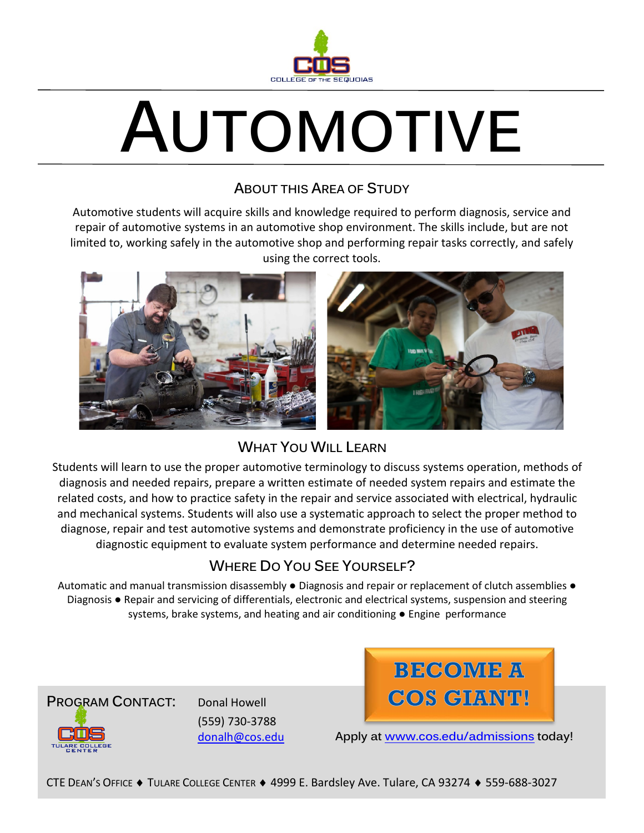

# **AUTOMOTIVE**

## **ABOUT THIS AREA OF STUDY**

Automotive students will acquire skills and knowledge required to perform diagnosis, service and repair of automotive systems in an automotive shop environment. The skills include, but are not limited to, working safely in the automotive shop and performing repair tasks correctly, and safely using the correct tools.



## **WHAT YOU WILL LEARN**

Students will learn to use the proper automotive terminology to discuss systems operation, methods of diagnosis and needed repairs, prepare a written estimate of needed system repairs and estimate the related costs, and how to practice safety in the repair and service associated with electrical, hydraulic and mechanical systems. Students will also use a systematic approach to select the proper method to diagnose, repair and test automotive systems and demonstrate proficiency in the use of automotive diagnostic equipment to evaluate system performance and determine needed repairs.

# **WHERE DO YOU SEE YOURSELF?**

Automatic and manual transmission disassembly ● Diagnosis and repair or replacement of clutch assemblies ● Diagnosis ● Repair and servicing of differentials, electronic and electrical systems, suspension and steering systems, brake systems, and heating and air conditioning • Engine performance



(559) 730-3788 [donalh@cos.edu](mailto:donalh@cos.edu)



**Apply at [www.cos.edu/admissions](http://www.cos.edu/admissions) today!**

CTE DEAN'S OFFICE ♦ TULARE COLLEGE CENTER ♦ 4999 E. Bardsley Ave. Tulare, CA 93274 ♦ 559-688-3027